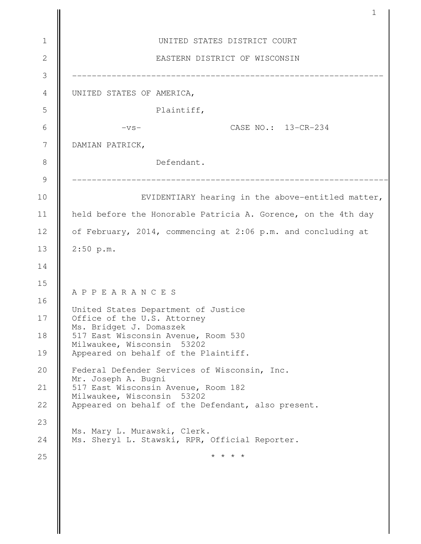|                              | UNITED STATES DISTRICT COURT                                  |
|------------------------------|---------------------------------------------------------------|
|                              | EASTERN DISTRICT OF WISCONSIN                                 |
| UNITED STATES OF AMERICA,    |                                                               |
|                              | Plaintiff,                                                    |
| $-VS-$                       | CASE NO.: 13-CR-234                                           |
| DAMIAN PATRICK,              |                                                               |
|                              | Defendant.                                                    |
|                              | EVIDENTIARY hearing in the above-entitled matter,             |
|                              | held before the Honorable Patricia A. Gorence, on the 4th day |
|                              | of February, 2014, commencing at 2:06 p.m. and concluding at  |
| $2:50$ p.m.                  |                                                               |
|                              |                                                               |
|                              |                                                               |
| APPEARANCES                  |                                                               |
| Office of the U.S. Attorney  | United States Department of Justice                           |
| Ms. Bridget J. Domaszek      |                                                               |
| Milwaukee, Wisconsin 53202   | 517 East Wisconsin Avenue, Room 530                           |
|                              | Appeared on behalf of the Plaintiff.                          |
| Mr. Joseph A. Bugni          | Federal Defender Services of Wisconsin, Inc.                  |
| Milwaukee, Wisconsin 53202   | 517 East Wisconsin Avenue, Room 182                           |
|                              | Appeared on behalf of the Defendant, also present.            |
|                              |                                                               |
|                              |                                                               |
| Ms. Mary L. Murawski, Clerk. | Ms. Sheryl L. Stawski, RPR, Official Reporter.                |

 $\mathbf{\mathsf{I}}$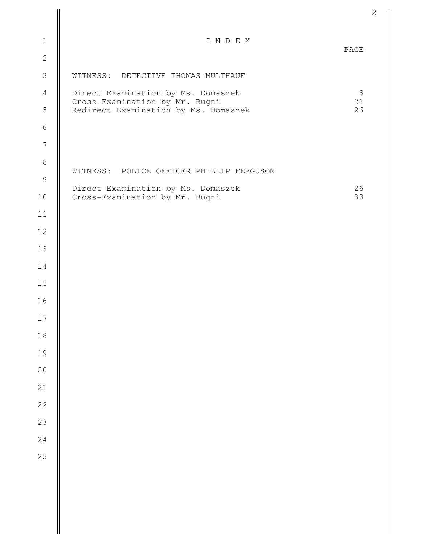| $\mathbf 1$         | INDEX                                                                  |         |
|---------------------|------------------------------------------------------------------------|---------|
| $\mathbf{2}$        |                                                                        | PAGE    |
| $\mathcal{S}$       | WITNESS: DETECTIVE THOMAS MULTHAUF                                     |         |
| $\overline{4}$      | Direct Examination by Ms. Domaszek                                     | 8<br>21 |
| 5                   | Cross-Examination by Mr. Bugni<br>Redirect Examination by Ms. Domaszek | 26      |
| $\sqrt{6}$          |                                                                        |         |
| $\overline{7}$      |                                                                        |         |
| $\,8\,$             | WITNESS: POLICE OFFICER PHILLIP FERGUSON                               |         |
| $\mathcal{G}$       | Direct Examination by Ms. Domaszek                                     | 26      |
| 10                  | Cross-Examination by Mr. Bugni                                         | 33      |
| 11                  |                                                                        |         |
| 12                  |                                                                        |         |
| 13                  |                                                                        |         |
| 14                  |                                                                        |         |
| 15                  |                                                                        |         |
| 16                  |                                                                        |         |
| $17$                |                                                                        |         |
| $18\,$              |                                                                        |         |
| 19                  |                                                                        |         |
| $20$<br>$2\sqrt{1}$ |                                                                        |         |
| 22                  |                                                                        |         |
| 23                  |                                                                        |         |
| 24                  |                                                                        |         |
| 25                  |                                                                        |         |
|                     |                                                                        |         |
|                     |                                                                        |         |
|                     |                                                                        |         |
|                     |                                                                        |         |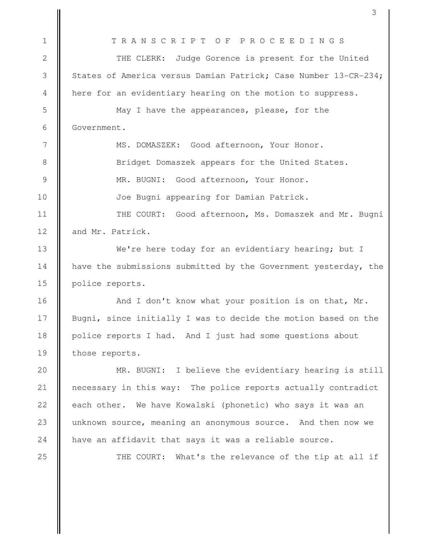T R A N S C R I P T O F P R O C E E D I N G S THE CLERK: Judge Gorence is present for the United States of America versus Damian Patrick; Case Number 13-CR-234; here for an evidentiary hearing on the motion to suppress. May I have the appearances, please, for the Government. MS. DOMASZEK: Good afternoon, Your Honor. Bridget Domaszek appears for the United States. MR. BUGNI: Good afternoon, Your Honor. Joe Bugni appearing for Damian Patrick. THE COURT: Good afternoon, Ms. Domaszek and Mr. Bugni and Mr. Patrick. We're here today for an evidentiary hearing; but I have the submissions submitted by the Government yesterday, the police reports. And I don't know what your position is on that, Mr. Bugni, since initially I was to decide the motion based on the police reports I had. And I just had some questions about those reports. MR. BUGNI: I believe the evidentiary hearing is still necessary in this way: The police reports actually contradict each other. We have Kowalski (phonetic) who says it was an unknown source, meaning an anonymous source. And then now we have an affidavit that says it was a reliable source. THE COURT: What's the relevance of the tip at all if 1 2 3 4 5 6 7 8 9 10 11 12 13 14 15 16 17 18 19 20 21 22 23 24 25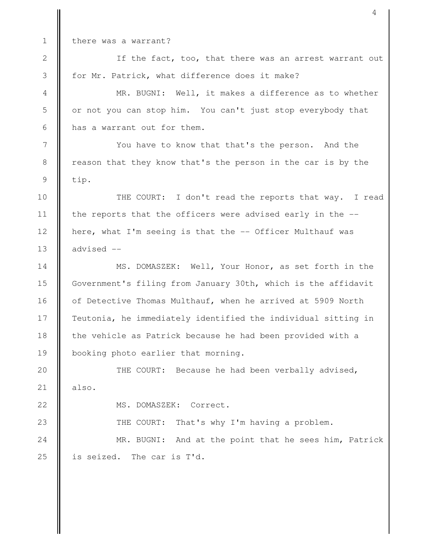2

3

4

5

6

7

8

9

22

23

there was a warrant?

If the fact, too, that there was an arrest warrant out for Mr. Patrick, what difference does it make?

MR. BUGNI: Well, it makes a difference as to whether or not you can stop him. You can't just stop everybody that has a warrant out for them.

You have to know that that's the person. And the reason that they know that's the person in the car is by the tip.

THE COURT: I don't read the reports that way. I read the reports that the officers were advised early in the - here, what I'm seeing is that the -- Officer Multhauf was advised -- 10 11 12 13

MS. DOMASZEK: Well, Your Honor, as set forth in the Government's filing from January 30th, which is the affidavit of Detective Thomas Multhauf, when he arrived at 5909 North Teutonia, he immediately identified the individual sitting in the vehicle as Patrick because he had been provided with a booking photo earlier that morning. 14 15 16 17 18 19

THE COURT: Because he had been verbally advised, also. 20 21

MS. DOMASZEK: Correct.

THE COURT: That's why I'm having a problem.

MR. BUGNI: And at the point that he sees him, Patrick is seized. The car is T'd. 24 25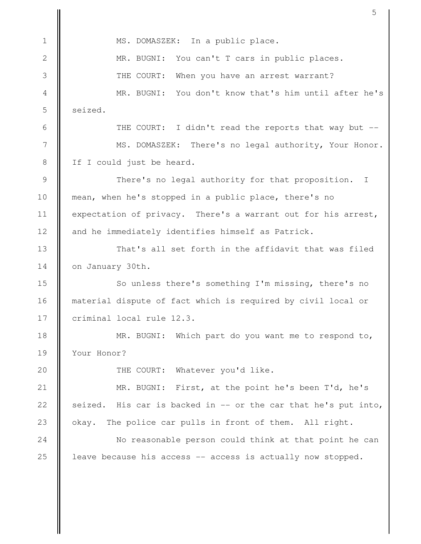MS. DOMASZEK: In a public place. MR. BUGNI: You can't T cars in public places. THE COURT: When you have an arrest warrant? MR. BUGNI: You don't know that's him until after he's seized. THE COURT: I didn't read the reports that way but --MS. DOMASZEK: There's no legal authority, Your Honor. If I could just be heard. There's no legal authority for that proposition. I mean, when he's stopped in a public place, there's no expectation of privacy. There's a warrant out for his arrest, and he immediately identifies himself as Patrick. That's all set forth in the affidavit that was filed on January 30th. So unless there's something I'm missing, there's no material dispute of fact which is required by civil local or criminal local rule 12.3. MR. BUGNI: Which part do you want me to respond to, Your Honor? THE COURT: Whatever you'd like. MR. BUGNI: First, at the point he's been T'd, he's seized. His car is backed in -- or the car that he's put into, okay. The police car pulls in front of them. All right. No reasonable person could think at that point he can leave because his access -- access is actually now stopped. 1 2 3 4 5 6 7 8 9 10 11 12 13 14 15 16 17 18 19 20 21 22 23 24 25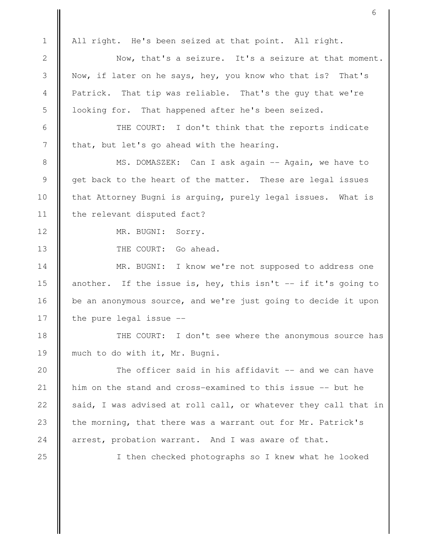2

3

4

5

6

7

8

9

10

11

12

13

14

15

16

17

18

19

20

21

22

23

24

All right. He's been seized at that point. All right.

Now, that's a seizure. It's a seizure at that moment. Now, if later on he says, hey, you know who that is? That's Patrick. That tip was reliable. That's the guy that we're looking for. That happened after he's been seized.

THE COURT: I don't think that the reports indicate that, but let's go ahead with the hearing.

MS. DOMASZEK: Can I ask again -- Again, we have to get back to the heart of the matter. These are legal issues that Attorney Bugni is arguing, purely legal issues. What is the relevant disputed fact?

MR. BUGNI: Sorry.

THE COURT: Go ahead.

MR. BUGNI: I know we're not supposed to address one another. If the issue is, hey, this isn't -- if it's going to be an anonymous source, and we're just going to decide it upon the pure legal issue --

THE COURT: I don't see where the anonymous source has much to do with it, Mr. Bugni.

The officer said in his affidavit -- and we can have him on the stand and cross-examined to this issue -- but he said, I was advised at roll call, or whatever they call that in the morning, that there was a warrant out for Mr. Patrick's arrest, probation warrant. And I was aware of that.

25

I then checked photographs so I knew what he looked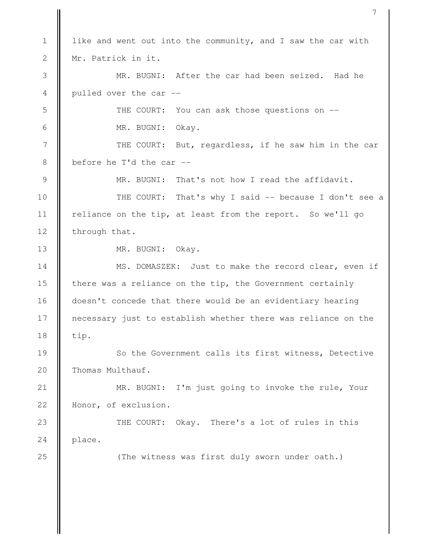like and went out into the community, and I saw the car with Mr. Patrick in it. MR. BUGNI: After the car had been seized. Had he pulled over the car -- THE COURT: You can ask those questions on --MR. BUGNI: Okay. THE COURT: But, regardless, if he saw him in the car before he T'd the car -- MR. BUGNI: That's not how I read the affidavit. THE COURT: That's why I said -- because I don't see a reliance on the tip, at least from the report. So we'll go through that. MR. BUGNI: Okay. MS. DOMASZEK: Just to make the record clear, even if there was a reliance on the tip, the Government certainly doesn't concede that there would be an evidentiary hearing necessary just to establish whether there was reliance on the tip. So the Government calls its first witness, Detective Thomas Multhauf. MR. BUGNI: I'm just going to invoke the rule, Your Honor, of exclusion. THE COURT: Okay. There's a lot of rules in this place. (The witness was first duly sworn under oath.) 1 2 3 4 5 6 7 8 9 10 11 12 13 14 15 16 17 18 19 20 21 22 23 24 25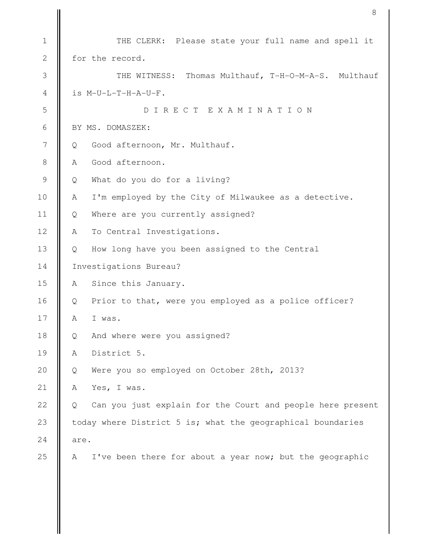|                | 8                                                               |
|----------------|-----------------------------------------------------------------|
| 1              | THE CLERK: Please state your full name and spell it             |
| $\mathbf{2}$   | for the record.                                                 |
| 3              | THE WITNESS: Thomas Multhauf, T-H-O-M-A-S. Multhauf             |
| $\overline{4}$ | is M-U-L-T-H-A-U-F.                                             |
| 5              | DIRECT EXAMINATION                                              |
| 6              | BY MS. DOMASZEK:                                                |
| 7              | Good afternoon, Mr. Multhauf.<br>Q                              |
| $8\,$          | Good afternoon.<br>Α                                            |
| $\mathcal{G}$  | What do you do for a living?<br>Q                               |
| 10             | I'm employed by the City of Milwaukee as a detective.<br>Α      |
| 11             | Where are you currently assigned?<br>Q                          |
| 12             | To Central Investigations.<br>Α                                 |
| 13             | How long have you been assigned to the Central<br>Q             |
| 14             | Investigations Bureau?                                          |
| 15             | Since this January.<br>A                                        |
| 16             | Prior to that, were you employed as a police officer?<br>Q      |
| 17             | Α<br>I was.                                                     |
| 18             | And where were you assigned?<br>Q                               |
| 19             | District 5.<br>Α                                                |
| 20             | Were you so employed on October 28th, 2013?<br>Q                |
| 21             | Α<br>Yes, I was.                                                |
| 22             | Can you just explain for the Court and people here present<br>Q |
| 23             | today where District 5 is; what the geographical boundaries     |
| 24             | are.                                                            |
| 25             | I've been there for about a year now; but the geographic<br>Α   |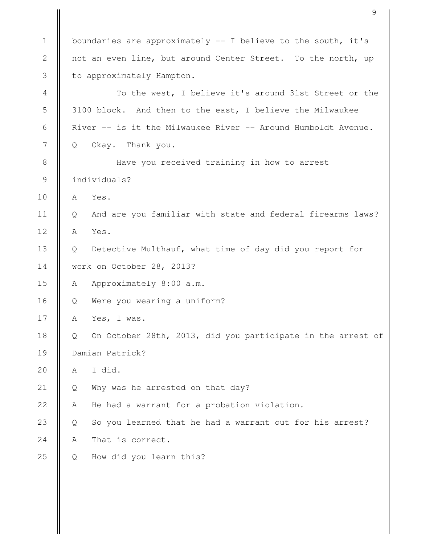|               | 9                                                                |
|---------------|------------------------------------------------------------------|
| $\mathbf 1$   | boundaries are approximately -- I believe to the south, it's     |
| $\mathbf{2}$  | not an even line, but around Center Street. To the north, up     |
| 3             | to approximately Hampton.                                        |
| 4             | To the west, I believe it's around 31st Street or the            |
| 5             | 3100 block. And then to the east, I believe the Milwaukee        |
| 6             | River -- is it the Milwaukee River -- Around Humboldt Avenue.    |
| 7             | Okay. Thank you.<br>Q                                            |
| $\,8\,$       | Have you received training in how to arrest                      |
| $\mathcal{G}$ | individuals?                                                     |
| 10            | Yes.<br>A                                                        |
| 11            | And are you familiar with state and federal firearms laws?<br>Q  |
| 12            | Yes.<br>A                                                        |
| 13            | Detective Multhauf, what time of day did you report for<br>Q     |
| 14            | work on October 28, 2013?                                        |
| 15            | Approximately 8:00 a.m.<br>A                                     |
| 16            | Were you wearing a uniform?<br>Q                                 |
| 17            | Yes, I was.<br>Α                                                 |
| 18            | On October 28th, 2013, did you participate in the arrest of<br>Q |
| 19            | Damian Patrick?                                                  |
| 20            | I did.<br>Α                                                      |
| 21            | Why was he arrested on that day?<br>Q                            |
| 22            | He had a warrant for a probation violation.<br>Α                 |
| 23            | So you learned that he had a warrant out for his arrest?<br>Q    |
| 24            | That is correct.<br>Α                                            |
| 25            | How did you learn this?<br>Q                                     |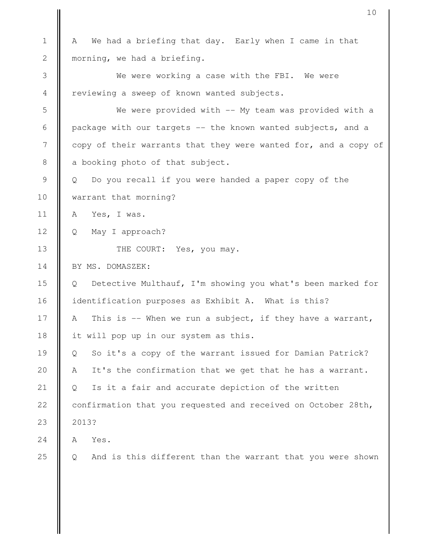|                | 10                                                              |
|----------------|-----------------------------------------------------------------|
| $\mathbf 1$    | We had a briefing that day. Early when I came in that<br>A      |
| $\mathbf{2}$   | morning, we had a briefing.                                     |
| 3              | We were working a case with the FBI. We were                    |
| 4              | reviewing a sweep of known wanted subjects.                     |
| 5              | We were provided with -- My team was provided with a            |
| 6              | package with our targets -- the known wanted subjects, and a    |
| $\overline{7}$ | copy of their warrants that they were wanted for, and a copy of |
| 8              | a booking photo of that subject.                                |
| $\mathcal{G}$  | Do you recall if you were handed a paper copy of the<br>Q.      |
| 10             | warrant that morning?                                           |
| 11             | A<br>Yes, I was.                                                |
| 12             | Q<br>May I approach?                                            |
| 13             | THE COURT: Yes, you may.                                        |
| 14             | BY MS. DOMASZEK:                                                |
| 15             |                                                                 |
|                | Detective Multhauf, I'm showing you what's been marked for<br>Q |
| 16             | identification purposes as Exhibit A. What is this?             |
| 17             | This is -- When we run a subject, if they have a warrant,<br>А  |
| 18             | it will pop up in our system as this.                           |
| 19             | So it's a copy of the warrant issued for Damian Patrick?<br>Q.  |
| 20             | It's the confirmation that we get that he has a warrant.<br>Α   |
| 21             | Is it a fair and accurate depiction of the written<br>Q         |
| 22             | confirmation that you requested and received on October 28th,   |
| 23             | 2013?                                                           |
| 24             | Yes.<br>Α                                                       |
| 25             | And is this different than the warrant that you were shown<br>Q |
|                |                                                                 |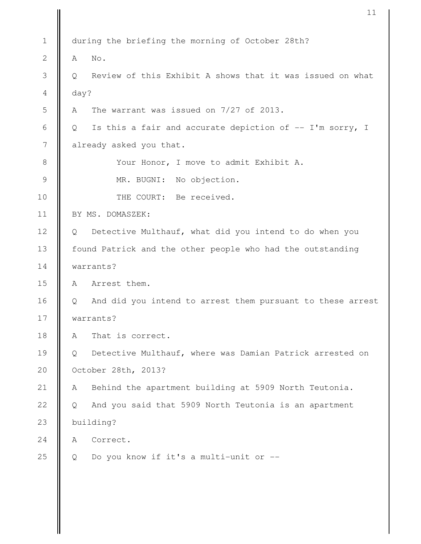|                | 11                                                                  |
|----------------|---------------------------------------------------------------------|
| $\mathbf 1$    | during the briefing the morning of October 28th?                    |
| $\mathbf{2}$   | No.<br>A                                                            |
| 3              | Review of this Exhibit A shows that it was issued on what<br>Q      |
| 4              | day?                                                                |
| 5              | The warrant was issued on 7/27 of 2013.<br>A                        |
| 6              | Is this a fair and accurate depiction of -- I'm sorry, I<br>Q       |
| $\overline{7}$ | already asked you that.                                             |
| 8              | Your Honor, I move to admit Exhibit A.                              |
| $\mathcal{G}$  | MR. BUGNI: No objection.                                            |
| 10             | THE COURT: Be received.                                             |
| 11             | BY MS. DOMASZEK:                                                    |
| 12             | Detective Multhauf, what did you intend to do when you<br>Q         |
| 13             | found Patrick and the other people who had the outstanding          |
| 14             | warrants?                                                           |
| 15             | Arrest them.<br>A                                                   |
| 16             | Q<br>And did you intend to arrest them pursuant to these arrest     |
| 17             | warrants?                                                           |
| 18             | That is correct.<br>A                                               |
| 19             | Detective Multhauf, where was Damian Patrick arrested on<br>$\circ$ |
| 20             | October 28th, 2013?                                                 |
| 21             | Behind the apartment building at 5909 North Teutonia.<br>A          |
| 22             | And you said that 5909 North Teutonia is an apartment<br>Q          |
| 23             | building?                                                           |
| 24             | Correct.<br>A                                                       |
| 25             | Do you know if it's a multi-unit or --<br>Q                         |
|                |                                                                     |

 $\mathbb I$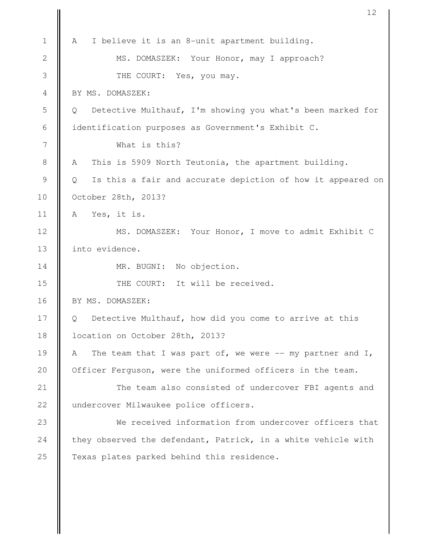|                | 12                                                               |
|----------------|------------------------------------------------------------------|
| $\mathbf 1$    | I believe it is an 8-unit apartment building.<br>Α               |
| $\mathbf{2}$   | MS. DOMASZEK: Your Honor, may I approach?                        |
| 3              | THE COURT:<br>Yes, you may.                                      |
| $\overline{4}$ | BY MS. DOMASZEK:                                                 |
| 5              | Detective Multhauf, I'm showing you what's been marked for<br>Q  |
| 6              | identification purposes as Government's Exhibit C.               |
| 7              | What is this?                                                    |
| 8              | This is 5909 North Teutonia, the apartment building.<br>A        |
| 9              | Is this a fair and accurate depiction of how it appeared on<br>Q |
| 10             | October 28th, 2013?                                              |
| 11             | Yes, it is.<br>A                                                 |
| 12             | MS. DOMASZEK: Your Honor, I move to admit Exhibit C              |
| 13             | into evidence.                                                   |
| 14             | MR. BUGNI: No objection.                                         |
| 15             | THE COURT: It will be received.                                  |
| 16             | BY MS. DOMASZEK:                                                 |
| 17             | Detective Multhauf, how did you come to arrive at this<br>Q      |
| 18             | location on October 28th, 2013?                                  |
| 19             | The team that I was part of, we were $--$ my partner and I,<br>А |
| 20             | Officer Ferguson, were the uniformed officers in the team.       |
| 21             | The team also consisted of undercover FBI agents and             |
| 22             | undercover Milwaukee police officers.                            |
| 23             | We received information from undercover officers that            |
| 24             | they observed the defendant, Patrick, in a white vehicle with    |
| 25             | Texas plates parked behind this residence.                       |
|                |                                                                  |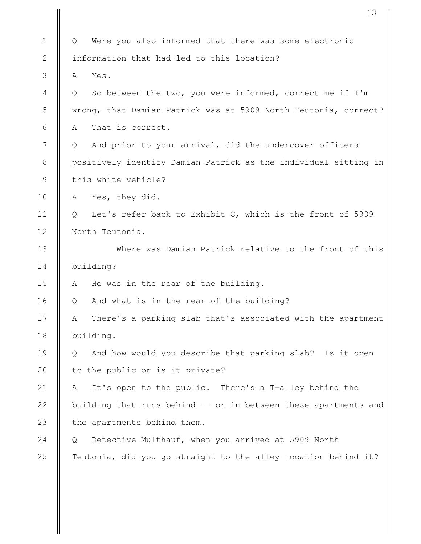|                | 13                                                                          |
|----------------|-----------------------------------------------------------------------------|
| $\mathbf{1}$   | Were you also informed that there was some electronic<br>Q                  |
|                |                                                                             |
| $\mathbf{2}$   | information that had led to this location?                                  |
| 3              | Yes.<br>A                                                                   |
| $\overline{4}$ | So between the two, you were informed, correct me if I'm<br>Q               |
| 5              | wrong, that Damian Patrick was at 5909 North Teutonia, correct?             |
| 6              | That is correct.<br>А                                                       |
| 7              | And prior to your arrival, did the undercover officers<br>$\circ$           |
| 8              | positively identify Damian Patrick as the individual sitting in             |
| $\mathcal{G}$  | this white vehicle?                                                         |
| 10             | Yes, they did.<br>A                                                         |
| 11             | Let's refer back to Exhibit C, which is the front of 5909<br>$\overline{Q}$ |
| 12             | North Teutonia.                                                             |
| 13             | Where was Damian Patrick relative to the front of this                      |
| 14             | building?                                                                   |
| 15             | He was in the rear of the building.<br>A                                    |
| 16             | And what is in the rear of the building?<br>Q                               |
| 17             | There's a parking slab that's associated with the apartment<br>A            |
| 18             | building.                                                                   |
| 19             | And how would you describe that parking slab? Is it open<br>Q               |
| 20             | to the public or is it private?                                             |
| 21             | It's open to the public. There's a T-alley behind the<br>A                  |
| 22             | building that runs behind -- or in between these apartments and             |
| 23             | the apartments behind them.                                                 |
| 24             | Detective Multhauf, when you arrived at 5909 North<br>Q                     |
| 25             | Teutonia, did you go straight to the alley location behind it?              |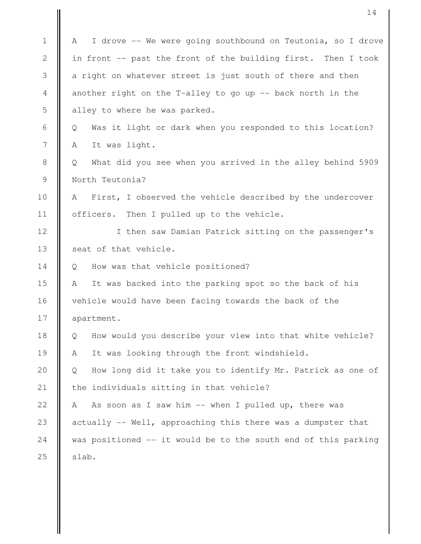|              | 14                                                                          |
|--------------|-----------------------------------------------------------------------------|
| $\mathbf 1$  | I drove -- We were going southbound on Teutonia, so I drove<br>$\mathbb{A}$ |
| $\mathbf{2}$ | in front -- past the front of the building first. Then I took               |
| 3            | a right on whatever street is just south of there and then                  |
| 4            | another right on the T-alley to go up -- back north in the                  |
| 5            | alley to where he was parked.                                               |
| 6            | Was it light or dark when you responded to this location?<br>Q              |
| 7            | It was light.<br>A                                                          |
| 8            | What did you see when you arrived in the alley behind 5909<br>Q             |
| $\mathsf{O}$ | North Teutonia?                                                             |
| 10           | First, I observed the vehicle described by the undercover<br>A              |
| 11           | officers. Then I pulled up to the vehicle.                                  |
| 12           | I then saw Damian Patrick sitting on the passenger's                        |
| 13           | seat of that vehicle.                                                       |
| 14           | How was that vehicle positioned?<br>Q                                       |
| 15           | It was backed into the parking spot so the back of his<br>Α                 |
| 16           | vehicle would have been facing towards the back of the                      |
| 17           | apartment.                                                                  |
| 18           | How would you describe your view into that white vehicle?<br>Q              |
| 19           | It was looking through the front windshield.<br>Α                           |
| 20           | How long did it take you to identify Mr. Patrick as one of<br>Q             |
| 21           | the individuals sitting in that vehicle?                                    |
| 22           | As soon as I saw him -- when I pulled up, there was<br>Α                    |
| 23           | actually -- Well, approaching this there was a dumpster that                |
| 24           | was positioned -- it would be to the south end of this parking              |
| 25           | slab.                                                                       |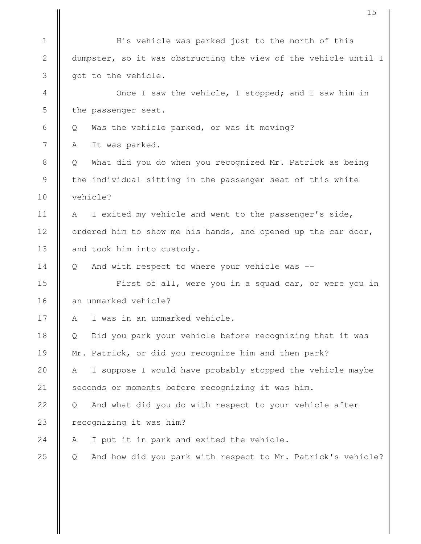|               | 15                                                               |
|---------------|------------------------------------------------------------------|
| $\mathbf 1$   | His vehicle was parked just to the north of this                 |
| $\mathbf{2}$  |                                                                  |
|               | dumpster, so it was obstructing the view of the vehicle until I  |
| 3             | got to the vehicle.                                              |
| 4             | Once I saw the vehicle, I stopped; and I saw him in              |
| 5             | the passenger seat.                                              |
| 6             | Was the vehicle parked, or was it moving?<br>Q                   |
| 7             | It was parked.<br>A                                              |
| $\,8\,$       | What did you do when you recognized Mr. Patrick as being<br>Q    |
| $\mathcal{G}$ | the individual sitting in the passenger seat of this white       |
| 10            | vehicle?                                                         |
| 11            | I exited my vehicle and went to the passenger's side,<br>А       |
| 12            | ordered him to show me his hands, and opened up the car door,    |
| 13            | and took him into custody.                                       |
| 14            | And with respect to where your vehicle was --<br>Q               |
| 15            | First of all, were you in a squad car, or were you in            |
| 16            | an unmarked vehicle?                                             |
| 17            | I was in an unmarked vehicle.<br>Α                               |
| 18            | Did you park your vehicle before recognizing that it was<br>Q    |
| 19            | Mr. Patrick, or did you recognize him and then park?             |
| 20            | I suppose I would have probably stopped the vehicle maybe<br>А   |
| 21            | seconds or moments before recognizing it was him.                |
| 22            | And what did you do with respect to your vehicle after<br>Q      |
| 23            | recognizing it was him?                                          |
| 24            | I put it in park and exited the vehicle.<br>Α                    |
| 25            | And how did you park with respect to Mr. Patrick's vehicle?<br>Q |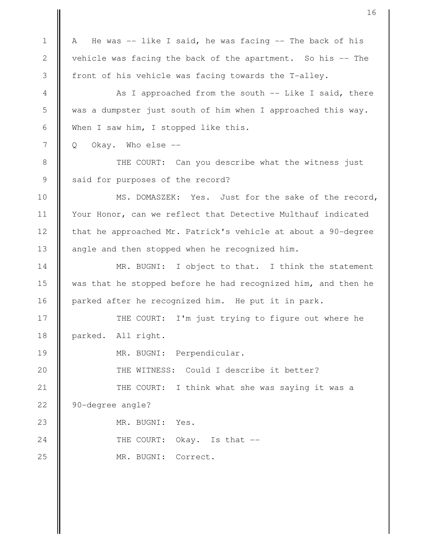A He was -- like I said, he was facing -- The back of his vehicle was facing the back of the apartment. So his -- The front of his vehicle was facing towards the T-alley. As I approached from the south -- Like I said, there was a dumpster just south of him when I approached this way. When I saw him, I stopped like this. Q Okay. Who else -- THE COURT: Can you describe what the witness just said for purposes of the record? MS. DOMASZEK: Yes. Just for the sake of the record, Your Honor, can we reflect that Detective Multhauf indicated that he approached Mr. Patrick's vehicle at about a 90-degree angle and then stopped when he recognized him. MR. BUGNI: I object to that. I think the statement was that he stopped before he had recognized him, and then he parked after he recognized him. He put it in park. THE COURT: I'm just trying to figure out where he parked. All right. MR. BUGNI: Perpendicular. THE WITNESS: Could I describe it better? THE COURT: I think what she was saying it was a 90-degree angle? MR. BUGNI: Yes. THE COURT: Okay. Is that --MR. BUGNI: Correct. 1 2 3 4 5 6 7 8 9 10 11 12 13 14 15 16 17 18 19 20 21 22 23 24 25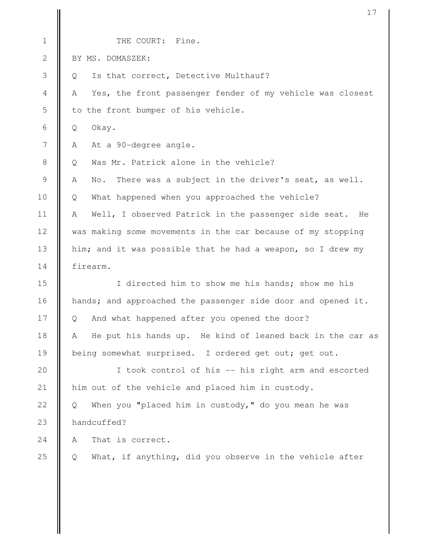|              | 17                                                              |
|--------------|-----------------------------------------------------------------|
| $\mathbf{1}$ | THE COURT: Fine.                                                |
| $\mathbf{2}$ | BY MS. DOMASZEK:                                                |
| 3            | Is that correct, Detective Multhauf?<br>Q                       |
| 4            | Yes, the front passenger fender of my vehicle was closest<br>А  |
| 5            | to the front bumper of his vehicle.                             |
| 6            | Okay.<br>Q                                                      |
| 7            | At a 90-degree angle.<br>Α                                      |
| $8\,$        | Was Mr. Patrick alone in the vehicle?<br>Q                      |
| 9            | There was a subject in the driver's seat, as well.<br>Α<br>No.  |
| 10           | What happened when you approached the vehicle?<br>Q             |
| 11           | Well, I observed Patrick in the passenger side seat.<br>Α<br>He |
| 12           | was making some movements in the car because of my stopping     |
| 13           | him; and it was possible that he had a weapon, so I drew my     |
| 14           | firearm.                                                        |
| 15           | I directed him to show me his hands; show me his                |
| 16           | hands; and approached the passenger side door and opened it.    |
| 17           | And what happened after you opened the door?<br>Q               |
| 18           | He put his hands up. He kind of leaned back in the car as<br>Α  |
| 19           | being somewhat surprised. I ordered get out; get out.           |
| 20           | I took control of his -- his right arm and escorted             |
| 21           | him out of the vehicle and placed him in custody.               |
| 22           | When you "placed him in custody," do you mean he was<br>Q       |
| 23           | handcuffed?                                                     |
| 24           | That is correct.<br>Α                                           |
| 25           | What, if anything, did you observe in the vehicle after<br>Q    |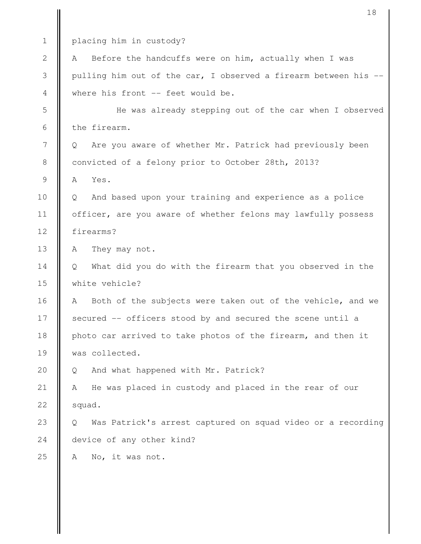|                | 18                                                               |
|----------------|------------------------------------------------------------------|
| $\mathbf 1$    | placing him in custody?                                          |
| $\mathbf{2}$   | Before the handcuffs were on him, actually when I was<br>A       |
| 3              | pulling him out of the car, I observed a firearm between his --  |
| $\overline{4}$ | where his front -- feet would be.                                |
| 5              | He was already stepping out of the car when I observed           |
| 6              | the firearm.                                                     |
| 7              | Are you aware of whether Mr. Patrick had previously been<br>Q    |
| 8              | convicted of a felony prior to October 28th, 2013?               |
| $\overline{9}$ | Yes.<br>$\mathbb{A}$                                             |
| 10             | And based upon your training and experience as a police<br>Q     |
| 11             | officer, are you aware of whether felons may lawfully possess    |
| 12             | firearms?                                                        |
| 13             | They may not.<br>Α                                               |
| 14             | What did you do with the firearm that you observed in the<br>Q   |
| 15             | white vehicle?                                                   |
| 16             | Both of the subjects were taken out of the vehicle, and we<br>A  |
| 17             | secured -- officers stood by and secured the scene until a       |
| 18             | photo car arrived to take photos of the firearm, and then it     |
| 19             | was collected.                                                   |
| 20             | And what happened with Mr. Patrick?<br>Q                         |
| 21             | He was placed in custody and placed in the rear of our<br>A      |
| 22             | squad.                                                           |
| 23             | Was Patrick's arrest captured on squad video or a recording<br>Q |
| 24             | device of any other kind?                                        |
| 25             | No, it was not.<br>Α                                             |
|                |                                                                  |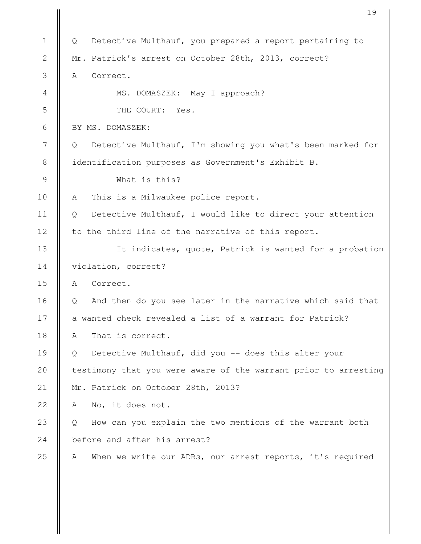|               | 19                                                              |
|---------------|-----------------------------------------------------------------|
|               |                                                                 |
| $\mathbf 1$   | Detective Multhauf, you prepared a report pertaining to<br>Q    |
| $\mathbf{2}$  | Mr. Patrick's arrest on October 28th, 2013, correct?            |
| 3             | $\mathbb A$<br>Correct.                                         |
| 4             | MS. DOMASZEK: May I approach?                                   |
| 5             | THE COURT: Yes.                                                 |
| 6             | BY MS. DOMASZEK:                                                |
| 7             | Detective Multhauf, I'm showing you what's been marked for<br>Q |
| 8             | identification purposes as Government's Exhibit B.              |
| $\mathcal{G}$ | What is this?                                                   |
| 10            | This is a Milwaukee police report.<br>A                         |
| 11            | Detective Multhauf, I would like to direct your attention<br>Q  |
| 12            | to the third line of the narrative of this report.              |
| 13            | It indicates, quote, Patrick is wanted for a probation          |
| 14            | violation, correct?                                             |
| 15            | Correct.<br>A                                                   |
| 16            | And then do you see later in the narrative which said that<br>Q |
| 17            | a wanted check revealed a list of a warrant for Patrick?        |
| 18            | That is correct.<br>A                                           |
| 19            | Detective Multhauf, did you -- does this alter your<br>$\circ$  |
| 20            | testimony that you were aware of the warrant prior to arresting |
| 21            | Mr. Patrick on October 28th, 2013?                              |
| 22            | No, it does not.<br>A                                           |
| 23            | How can you explain the two mentions of the warrant both<br>Q   |
| 24            | before and after his arrest?                                    |
| 25            | When we write our ADRs, our arrest reports, it's required<br>A  |
|               |                                                                 |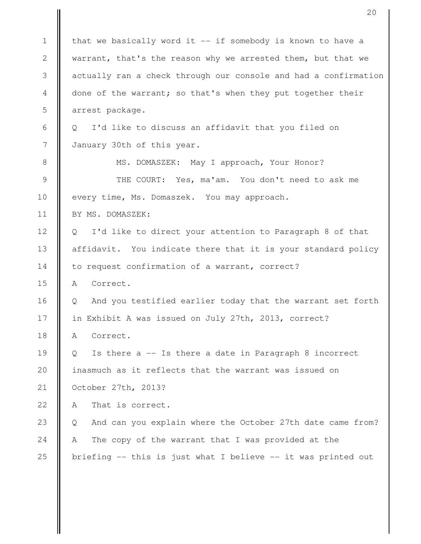|                 | 20                                                              |
|-----------------|-----------------------------------------------------------------|
| $\mathbf 1$     | that we basically word it $--$ if somebody is known to have a   |
| $\mathbf{2}$    | warrant, that's the reason why we arrested them, but that we    |
| 3               | actually ran a check through our console and had a confirmation |
| 4               | done of the warrant; so that's when they put together their     |
| 5               | arrest package.                                                 |
|                 |                                                                 |
| 6               | I'd like to discuss an affidavit that you filed on<br>$\circ$   |
| $7\phantom{.0}$ | January 30th of this year.                                      |
| 8               | MS. DOMASZEK: May I approach, Your Honor?                       |
| $\mathcal{G}$   | THE COURT: Yes, ma'am. You don't need to ask me                 |
| 10              | every time, Ms. Domaszek. You may approach.                     |
| 11              | BY MS. DOMASZEK:                                                |
| 12              | I'd like to direct your attention to Paragraph 8 of that<br>Q   |
| 13              | affidavit. You indicate there that it is your standard policy   |
| 14              | to request confirmation of a warrant, correct?                  |
| 15              | Correct.<br>A                                                   |
| 16              | And you testified earlier today that the warrant set forth<br>Q |
| 17              | in Exhibit A was issued on July 27th, 2013, correct?            |
| 18              | Correct.<br>A                                                   |
| 19              | Is there a -- Is there a date in Paragraph 8 incorrect<br>Q     |
| 20              | inasmuch as it reflects that the warrant was issued on          |
| 21              | October 27th, 2013?                                             |
| 22              | That is correct.<br>Α                                           |
| 23              | And can you explain where the October 27th date came from?<br>Q |
| 24              | The copy of the warrant that I was provided at the<br>A         |
| 25              | briefing -- this is just what I believe -- it was printed out   |
|                 |                                                                 |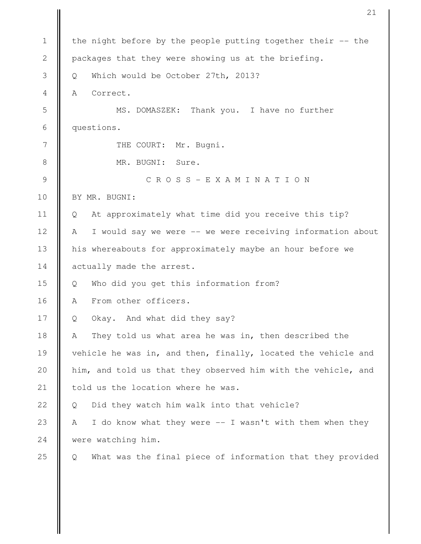the night before by the people putting together their -- the packages that they were showing us at the briefing. Q Which would be October 27th, 2013? A Correct. MS. DOMASZEK: Thank you. I have no further questions. THE COURT: Mr. Bugni. MR. BUGNI: Sure. C R O S S - E X A M I N A T I O N BY MR. BUGNI: Q At approximately what time did you receive this tip? A I would say we were -- we were receiving information about his whereabouts for approximately maybe an hour before we actually made the arrest. Q Who did you get this information from? A From other officers. Q Okay. And what did they say? A They told us what area he was in, then described the vehicle he was in, and then, finally, located the vehicle and him, and told us that they observed him with the vehicle, and told us the location where he was. Q Did they watch him walk into that vehicle? A I do know what they were -- I wasn't with them when they were watching him. Q What was the final piece of information that they provided 1 2 3 4 5 6 7 8 9 10 11 12 13 14 15 16 17 18 19 20 21 22 23 24 25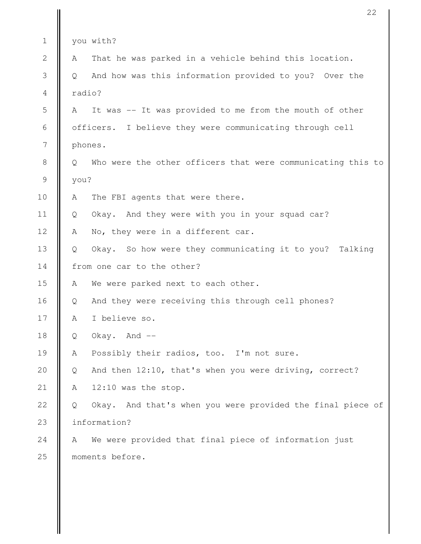|                |                                                | 22                                                          |
|----------------|------------------------------------------------|-------------------------------------------------------------|
| $\mathbf 1$    | you with?                                      |                                                             |
| $\overline{2}$ | A                                              | That he was parked in a vehicle behind this location.       |
| 3              | Q                                              | And how was this information provided to you? Over the      |
| 4              | radio?                                         |                                                             |
| 5              | А                                              | It was -- It was provided to me from the mouth of other     |
| 6              |                                                | officers. I believe they were communicating through cell    |
| 7              | phones.                                        |                                                             |
| 8              | Q                                              | Who were the other officers that were communicating this to |
| 9              | you?                                           |                                                             |
| 10             | The FBI agents that were there.<br>Α           |                                                             |
| 11             | Q                                              | Okay. And they were with you in your squad car?             |
| 12             | No, they were in a different car.<br>Α         |                                                             |
| 13             | Q                                              | Okay. So how were they communicating it to you? Talking     |
| 14             | from one car to the other?                     |                                                             |
| 15             | We were parked next to each other.<br>Α        |                                                             |
| 16             | Q                                              | And they were receiving this through cell phones?           |
| 17             | I believe so.<br>Α                             |                                                             |
| 18             | Okay. And $--$<br>Q                            |                                                             |
| 19             | Possibly their radios, too. I'm not sure.<br>Α |                                                             |
| 20             | Q                                              | And then 12:10, that's when you were driving, correct?      |
| 21             | 12:10 was the stop.<br>Α                       |                                                             |
| 22             | Q                                              | Okay. And that's when you were provided the final piece of  |
| 23             | information?                                   |                                                             |
| 24             | A                                              | We were provided that final piece of information just       |
| 25             | moments before.                                |                                                             |
|                |                                                |                                                             |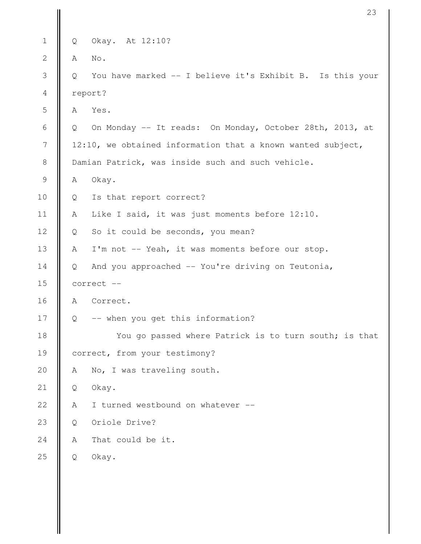|                |               | 23                                                          |
|----------------|---------------|-------------------------------------------------------------|
| $\mathbf 1$    | Q             | Okay. At 12:10?                                             |
| $\mathbf{2}$   | Α             | No.                                                         |
| $\mathfrak{Z}$ | Q             | You have marked -- I believe it's Exhibit B. Is this your   |
| $\overline{4}$ |               | report?                                                     |
| 5              | A             | Yes.                                                        |
| 6              | Q             | On Monday -- It reads: On Monday, October 28th, 2013, at    |
| $\overline{7}$ |               | 12:10, we obtained information that a known wanted subject, |
| $\,8\,$        |               | Damian Patrick, was inside such and such vehicle.           |
| $\mathcal{G}$  | A             | Okay.                                                       |
| 10             | Q             | Is that report correct?                                     |
| 11             | A             | Like I said, it was just moments before 12:10.              |
| 12             | Q             | So it could be seconds, you mean?                           |
| 13             | A             | I'm not -- Yeah, it was moments before our stop.            |
| 14             | Q             | And you approached -- You're driving on Teutonia,           |
| 15             |               | correct --                                                  |
| 16             | A             | Correct.                                                    |
| 17             | $\mathcal{Q}$ | -- when you get this information?                           |
| 18             |               | You go passed where Patrick is to turn south; is that       |
| 19             |               | correct, from your testimony?                               |
| 20             | A             | No, I was traveling south.                                  |
| 21             | Q             | Okay.                                                       |
| 22             | A             | I turned westbound on whatever --                           |
| 23             | Q             | Oriole Drive?                                               |
| 24             | Α             | That could be it.                                           |
| 25             | Q             | Okay.                                                       |
|                |               |                                                             |
|                |               |                                                             |

 $\mathbb I$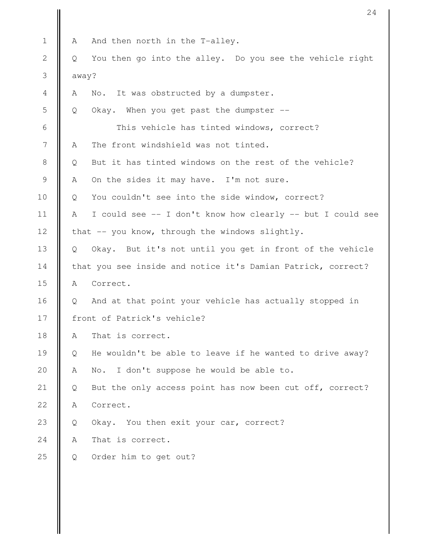|               |       | 24                                                           |
|---------------|-------|--------------------------------------------------------------|
| $\mathbf 1$   | А     | And then north in the T-alley.                               |
| $\mathbf{2}$  | Q     | You then go into the alley. Do you see the vehicle right     |
| 3             | away? |                                                              |
| 4             | Α     | It was obstructed by a dumpster.<br>No.                      |
| 5             | Q     | Okay. When you get past the dumpster --                      |
| 6             |       | This vehicle has tinted windows, correct?                    |
| 7             | A     | The front windshield was not tinted.                         |
| $8\,$         | Q     | But it has tinted windows on the rest of the vehicle?        |
| $\mathcal{G}$ | Α     | On the sides it may have. I'm not sure.                      |
| 10            | Q     | You couldn't see into the side window, correct?              |
| 11            | Α     | I could see -- I don't know how clearly -- but I could see   |
| 12            |       | that -- you know, through the windows slightly.              |
| 13            | Q     | Okay. But it's not until you get in front of the vehicle     |
| 14            |       | that you see inside and notice it's Damian Patrick, correct? |
| 15            | Α     | Correct.                                                     |
| 16            | Q     | And at that point your vehicle has actually stopped in       |
| 17            |       | front of Patrick's vehicle?                                  |
| 18            | Α     | That is correct.                                             |
| 19            | Q     | He wouldn't be able to leave if he wanted to drive away?     |
| 20            | Α     | I don't suppose he would be able to.<br>No.                  |
| 21            | Q     | But the only access point has now been cut off, correct?     |
| 22            | Α     | Correct.                                                     |
| 23            | Q     | Okay. You then exit your car, correct?                       |
| 24            | Α     | That is correct.                                             |
| 25            | Q     | Order him to get out?                                        |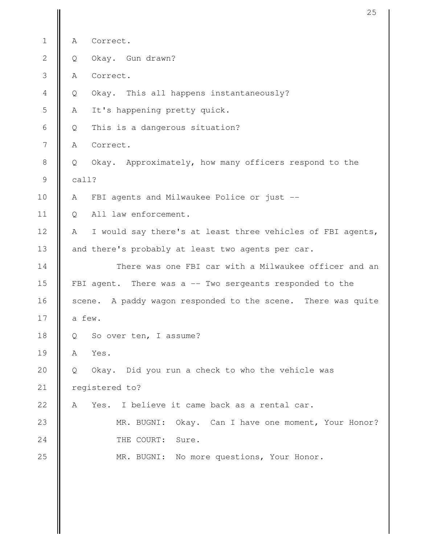|                | 25                                                              |
|----------------|-----------------------------------------------------------------|
| $\mathbf 1$    | Correct.<br>Α                                                   |
| $\mathbf{2}$   | Okay. Gun drawn?<br>Q                                           |
| 3              | Correct.<br>Α                                                   |
| $\overline{4}$ | Okay. This all happens instantaneously?<br>Q                    |
| 5              | It's happening pretty quick.<br>A                               |
| 6              | This is a dangerous situation?<br>Q                             |
| 7              | Correct.<br>A                                                   |
| $8\,$          | Okay. Approximately, how many officers respond to the<br>Q      |
| 9              | call?                                                           |
| 10             | FBI agents and Milwaukee Police or just --<br>А                 |
| 11             | All law enforcement.<br>Q                                       |
| 12             | I would say there's at least three vehicles of FBI agents,<br>Α |
| 13             | and there's probably at least two agents per car.               |
| 14             | There was one FBI car with a Milwaukee officer and an           |
| 15             | FBI agent. There was a -- Two sergeants responded to the        |
| 16             | A paddy wagon responded to the scene. There was quite<br>scene. |
| 17             | a few.                                                          |
| 18             | So over ten, I assume?<br>Q                                     |
| 19             | Yes.<br>A                                                       |
| 20             | Okay. Did you run a check to who the vehicle was<br>Q           |
| 21             | registered to?                                                  |
| 22             | Yes. I believe it came back as a rental car.<br>A               |
| 23             | MR. BUGNI: Okay. Can I have one moment, Your Honor?             |
| 24             | THE COURT:<br>Sure.                                             |
| 25             | MR. BUGNI: No more questions, Your Honor.                       |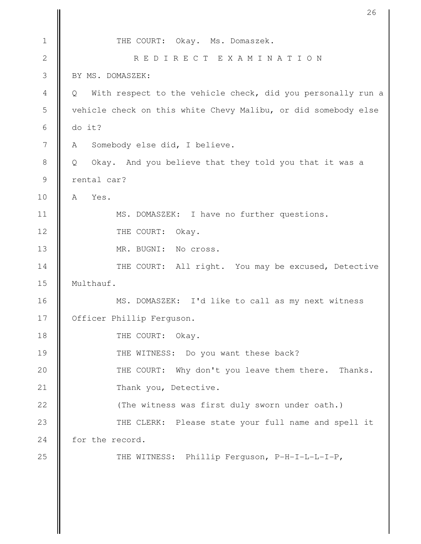|                 | 26                                                               |
|-----------------|------------------------------------------------------------------|
| $\mathbf 1$     | THE COURT: Okay. Ms. Domaszek.                                   |
| $\mathbf{2}$    | REDIRECT EXAMINATION                                             |
| 3               | BY MS. DOMASZEK:                                                 |
| $\overline{4}$  | With respect to the vehicle check, did you personally run a<br>Q |
| 5               | vehicle check on this white Chevy Malibu, or did somebody else   |
| 6               | do it?                                                           |
| $7\phantom{.0}$ | Somebody else did, I believe.<br>A                               |
|                 |                                                                  |
| $8\,$           | Okay. And you believe that they told you that it was a<br>Q      |
| $\mathcal{G}$   | rental car?                                                      |
| 10              | Yes.<br>$\mathbb{A}$                                             |
| 11              | MS. DOMASZEK: I have no further questions.                       |
| 12              | THE COURT:<br>Okay.                                              |
| 13              | MR. BUGNI: No cross.                                             |
| 14              | THE COURT: All right. You may be excused, Detective              |
| 15              | Multhauf.                                                        |
| 16              | MS. DOMASZEK: I'd like to call as my next witness                |
| 17              | Officer Phillip Ferguson.                                        |
| 18              | THE COURT:<br>Okay.                                              |
| 19              | THE WITNESS: Do you want these back?                             |
| 20              | THE COURT: Why don't you leave them there. Thanks.               |
| 21              | Thank you, Detective.                                            |
| 22              | (The witness was first duly sworn under oath.)                   |
| 23              | THE CLERK: Please state your full name and spell it              |
| 24              | for the record.                                                  |
| 25              | THE WITNESS: Phillip Ferguson, P-H-I-L-L-I-P,                    |
|                 |                                                                  |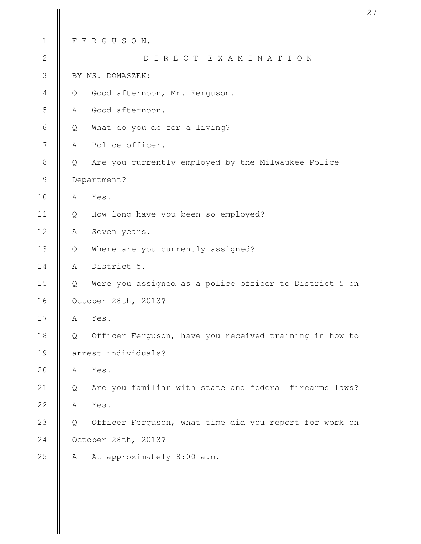| $\mathbf 1$   |              | $F-E-R-G-U-S-O N.$                                     |
|---------------|--------------|--------------------------------------------------------|
| $\mathbf{2}$  |              | DIRECT EXAMINATION                                     |
| 3             |              | BY MS. DOMASZEK:                                       |
| 4             | Q            | Good afternoon, Mr. Ferguson.                          |
| 5             | $\mathbb{A}$ | Good afternoon.                                        |
| 6             | Q            | What do you do for a living?                           |
| 7             | $\mathbb{A}$ | Police officer.                                        |
| $\,8\,$       | Q            | Are you currently employed by the Milwaukee Police     |
| $\mathcal{G}$ |              | Department?                                            |
| 10            | A            | Yes.                                                   |
| 11            | Q            | How long have you been so employed?                    |
| 12            | A            | Seven years.                                           |
| 13            | Q            | Where are you currently assigned?                      |
| 14            | $\mathbb A$  | District 5.                                            |
| 15            | Q            | Were you assigned as a police officer to District 5 on |
| 16            |              | October 28th, 2013?                                    |
| 17            | Α            | Yes.                                                   |
| 18            | Q            | Officer Ferguson, have you received training in how to |
| 19            |              | arrest individuals?                                    |
| 20            | Α            | Yes.                                                   |
| 21            | Q            | Are you familiar with state and federal firearms laws? |
| 22            | A            | Yes.                                                   |
| 23            | Q            | Officer Ferguson, what time did you report for work on |
| 24            |              | October 28th, 2013?                                    |
| 25            | Α            | At approximately 8:00 a.m.                             |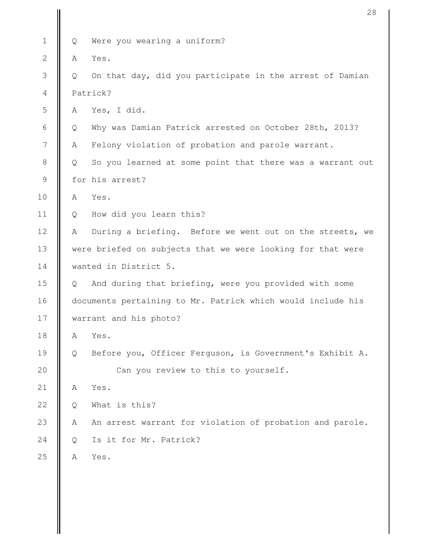|                |   | 28                                                          |
|----------------|---|-------------------------------------------------------------|
| $\mathbf 1$    | Q | Were you wearing a uniform?                                 |
| $\mathbf{2}$   | Α | Yes.                                                        |
| 3              | Q | On that day, did you participate in the arrest of Damian    |
| $\overline{4}$ |   | Patrick?                                                    |
| 5              | Α | Yes, I did.                                                 |
| 6              | Q | Why was Damian Patrick arrested on October 28th, 2013?      |
| 7              | Α | Felony violation of probation and parole warrant.           |
| $\,8\,$        | Q | So you learned at some point that there was a warrant out   |
| $\mathcal{G}$  |   | for his arrest?                                             |
| 10             | Α | Yes.                                                        |
| 11             | Q | How did you learn this?                                     |
| 12             | Α | During a briefing. Before we went out on the streets, we    |
| 13             |   | were briefed on subjects that we were looking for that were |
| 14             |   | wanted in District 5.                                       |
| 15             | Q | And during that briefing, were you provided with some       |
| 16             |   | documents pertaining to Mr. Patrick which would include his |
| 17             |   | warrant and his photo?                                      |
| 18             | Α | Yes.                                                        |
| 19             | Q | Before you, Officer Ferguson, is Government's Exhibit A.    |
| 20             |   | Can you review to this to yourself.                         |
| 21             | Α | Yes.                                                        |
| 22             | Q | What is this?                                               |
| 23             | Α | An arrest warrant for violation of probation and parole.    |
| 24             | Q | Is it for Mr. Patrick?                                      |
| 25             | Α | Yes.                                                        |
|                |   |                                                             |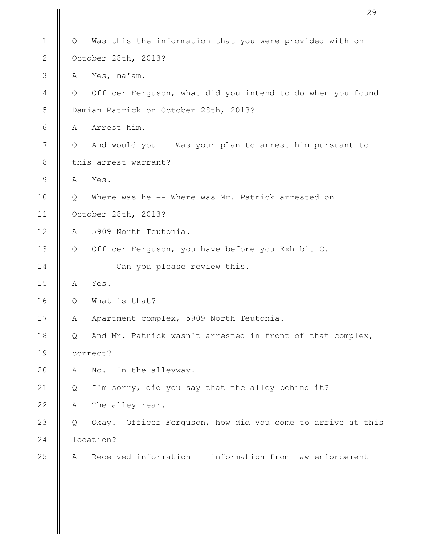|               |         | 29                                                         |
|---------------|---------|------------------------------------------------------------|
| $\mathbf{1}$  | $\circ$ | Was this the information that you were provided with on    |
| $\mathbf{2}$  |         | October 28th, 2013?                                        |
| 3             | А       | Yes, ma'am.                                                |
|               |         |                                                            |
| 4             | Q       | Officer Ferguson, what did you intend to do when you found |
| 5             |         | Damian Patrick on October 28th, 2013?                      |
| 6             | A       | Arrest him.                                                |
| 7             | Q       | And would you -- Was your plan to arrest him pursuant to   |
| $8\,$         |         | this arrest warrant?                                       |
| $\mathcal{G}$ | A       | Yes.                                                       |
| 10            | Q       | Where was he -- Where was Mr. Patrick arrested on          |
| 11            |         | October 28th, 2013?                                        |
| 12            | A       | 5909 North Teutonia.                                       |
| 13            | Q       | Officer Ferguson, you have before you Exhibit C.           |
| 14            |         | Can you please review this.                                |
| 15            | Α       | Yes.                                                       |
| 16            | Q       | What is that?                                              |
| 17            | А       | Apartment complex, 5909 North Teutonia.                    |
| 18            | Q       | And Mr. Patrick wasn't arrested in front of that complex,  |
| 19            |         | correct?                                                   |
| 20            | Α       | In the alleyway.<br>No.                                    |
| 21            | Q       | I'm sorry, did you say that the alley behind it?           |
| 22            | Α       | The alley rear.                                            |
| 23            | Q       | Okay. Officer Ferguson, how did you come to arrive at this |
| 24            |         | location?                                                  |
| 25            | A       | Received information -- information from law enforcement   |
|               |         |                                                            |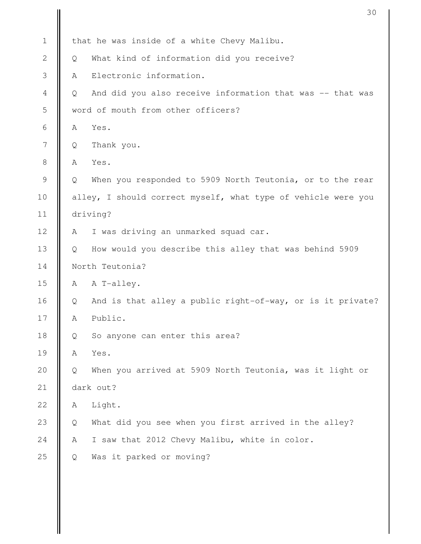|                |   | 30                                                            |
|----------------|---|---------------------------------------------------------------|
| $\mathbf{1}$   |   | that he was inside of a white Chevy Malibu.                   |
| $\mathbf{2}$   | Q | What kind of information did you receive?                     |
| 3              | A | Electronic information.                                       |
| $\overline{4}$ | Q | And did you also receive information that was -- that was     |
| 5              |   | word of mouth from other officers?                            |
| 6              | Α | Yes.                                                          |
| 7              | Q | Thank you.                                                    |
| $8\,$          | A | Yes.                                                          |
| $\mathcal{G}$  | Q | When you responded to 5909 North Teutonia, or to the rear     |
| 10             |   | alley, I should correct myself, what type of vehicle were you |
| 11             |   | driving?                                                      |
| 12             | A | I was driving an unmarked squad car.                          |
| 13             | Q | How would you describe this alley that was behind 5909        |
| 14             |   | North Teutonia?                                               |
| 15             | A | A T-alley.                                                    |
| 16             | Q | And is that alley a public right-of-way, or is it private?    |
| 17             | Α | Public.                                                       |
| 18             | Q | So anyone can enter this area?                                |
| 19             | Α | Yes.                                                          |
| 20             | Q | When you arrived at 5909 North Teutonia, was it light or      |
| 21             |   | dark out?                                                     |
| 22             | Α | Light.                                                        |
| 23             | Q | What did you see when you first arrived in the alley?         |
| 24             | Α | I saw that 2012 Chevy Malibu, white in color.                 |
| 25             | Q | Was it parked or moving?                                      |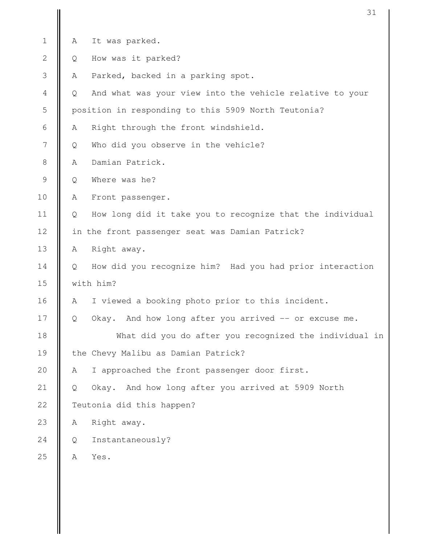|                |   | 31                                                        |
|----------------|---|-----------------------------------------------------------|
| $\mathbf 1$    | Α | It was parked.                                            |
| $\mathbf{2}$   | Q | How was it parked?                                        |
| 3              | Α | Parked, backed in a parking spot.                         |
| $\overline{4}$ | Q | And what was your view into the vehicle relative to your  |
| 5              |   | position in responding to this 5909 North Teutonia?       |
| 6              | Α | Right through the front windshield.                       |
| 7              | Q | Who did you observe in the vehicle?                       |
| $8\,$          | Α | Damian Patrick.                                           |
| 9              | Q | Where was he?                                             |
| 10             | Α | Front passenger.                                          |
| 11             | Q | How long did it take you to recognize that the individual |
| 12             |   | in the front passenger seat was Damian Patrick?           |
| 13             | Α | Right away.                                               |
| 14             | Q | How did you recognize him? Had you had prior interaction  |
| 15             |   | with him?                                                 |
| 16             | A | I viewed a booking photo prior to this incident.          |
| 17             | Q | Okay. And how long after you arrived -- or excuse me.     |
| 18             |   | What did you do after you recognized the individual in    |
| 19             |   | the Chevy Malibu as Damian Patrick?                       |
| 20             | Α | I approached the front passenger door first.              |
| 21             | Q | Okay. And how long after you arrived at 5909 North        |
| 22             |   | Teutonia did this happen?                                 |
| 23             | Α | Right away.                                               |
| 24             | Q | Instantaneously?                                          |
| 25             | Α | Yes.                                                      |
|                |   |                                                           |
|                |   |                                                           |

 $\mathbf{\mathbf{\mathsf{II}}}$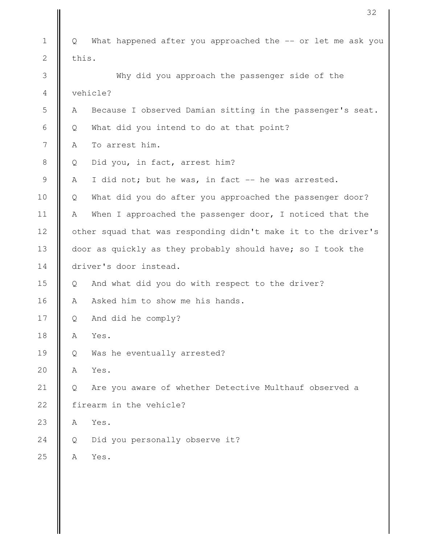|                 |       | 32                                                             |
|-----------------|-------|----------------------------------------------------------------|
| $\mathbf 1$     | Q     | What happened after you approached the -- or let me ask you    |
| $\mathbf{2}$    | this. |                                                                |
| 3               |       | Why did you approach the passenger side of the                 |
| $\overline{4}$  |       | vehicle?                                                       |
| 5               | Α     | Because I observed Damian sitting in the passenger's seat.     |
| 6               | Q     | What did you intend to do at that point?                       |
| $7\phantom{.0}$ | A     | To arrest him.                                                 |
| $8\,$           | Q     | Did you, in fact, arrest him?                                  |
| $\mathcal{G}$   | Α     | I did not; but he was, in fact -- he was arrested.             |
| 10              | Q     | What did you do after you approached the passenger door?       |
| 11              | A     | When I approached the passenger door, I noticed that the       |
| 12              |       | other squad that was responding didn't make it to the driver's |
| 13              |       | door as quickly as they probably should have; so I took the    |
| 14              |       | driver's door instead.                                         |
| 15              | Q     | And what did you do with respect to the driver?                |
| 16              | Α     | Asked him to show me his hands.                                |
| 17              | Q     | And did he comply?                                             |
| 18              | Α     | Yes.                                                           |
| 19              | Q     | Was he eventually arrested?                                    |
| 20              | Α     | Yes.                                                           |
| 21              | Q     | Are you aware of whether Detective Multhauf observed a         |
| 22              |       | firearm in the vehicle?                                        |
| 23              | Α     | Yes.                                                           |
| 24              | Q     | Did you personally observe it?                                 |
| 25              | Α     | Yes.                                                           |
|                 |       |                                                                |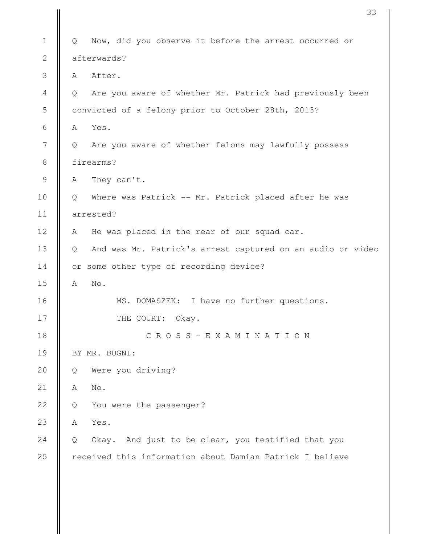|                | 33                                                              |
|----------------|-----------------------------------------------------------------|
| $\mathbf 1$    | Now, did you observe it before the arrest occurred or<br>Q      |
| $\mathbf{2}$   | afterwards?                                                     |
| 3              | After.<br>A                                                     |
| $\overline{4}$ | Are you aware of whether Mr. Patrick had previously been<br>Q   |
| 5              | convicted of a felony prior to October 28th, 2013?              |
| 6              | Yes.<br>Α                                                       |
| 7              | Are you aware of whether felons may lawfully possess<br>Q       |
| $8\,$          | firearms?                                                       |
| $\mathcal{G}$  | They can't.<br>Α                                                |
| 10             | Where was Patrick -- Mr. Patrick placed after he was<br>Q       |
| 11             | arrested?                                                       |
| 12             | He was placed in the rear of our squad car.<br>A                |
| 13             | And was Mr. Patrick's arrest captured on an audio or video<br>Q |
| 14             | or some other type of recording device?                         |
| 15             | No.<br>A                                                        |
| 16             | MS. DOMASZEK: I have no further questions.                      |
| 17             | Okay.<br>THE COURT:                                             |
| 18             | CROSS - EXAMINATION                                             |
| 19             | BY MR. BUGNI:                                                   |
| 20             | Were you driving?<br>Q                                          |
| 21             | No.<br>Α                                                        |
| 22             | You were the passenger?<br>Q                                    |
| 23             | Yes.<br>Α                                                       |
| 24             | And just to be clear, you testified that you<br>Q<br>Okay.      |
| 25             | received this information about Damian Patrick I believe        |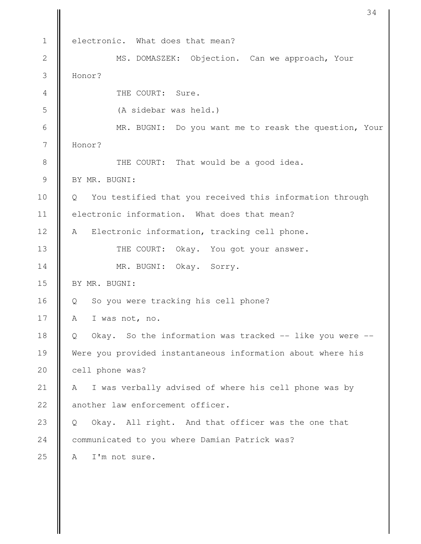|                | 34                                                            |
|----------------|---------------------------------------------------------------|
| $\mathbf{1}$   | electronic. What does that mean?                              |
| $\overline{2}$ | MS. DOMASZEK: Objection. Can we approach, Your                |
| 3              | Honor?                                                        |
| $\overline{4}$ | THE COURT: Sure.                                              |
| 5              | (A sidebar was held.)                                         |
| 6              | MR. BUGNI: Do you want me to reask the question, Your         |
| 7              | Honor?                                                        |
| $\,8\,$        | THE COURT: That would be a good idea.                         |
| 9              | BY MR. BUGNI:                                                 |
| 10             | You testified that you received this information through<br>Q |
| 11             | electronic information. What does that mean?                  |
| 12             | Electronic information, tracking cell phone.<br>A             |
| 13             | THE COURT:<br>Okay. You got your answer.                      |
| 14             | MR. BUGNI: Okay. Sorry.                                       |
| 15             | BY MR. BUGNI:                                                 |
| 16             | So you were tracking his cell phone?<br>Q                     |
| 17             | I was not, no.<br>Α                                           |
| 18             | Okay. So the information was tracked -- like you were --<br>Q |
| 19             | Were you provided instantaneous information about where his   |
| 20             | cell phone was?                                               |
| 21             | I was verbally advised of where his cell phone was by<br>A    |
| 22             | another law enforcement officer.                              |
| 23             | Okay. All right. And that officer was the one that<br>Q       |
| 24             | communicated to you where Damian Patrick was?                 |
| 25             | I'm not sure.<br>A                                            |
|                |                                                               |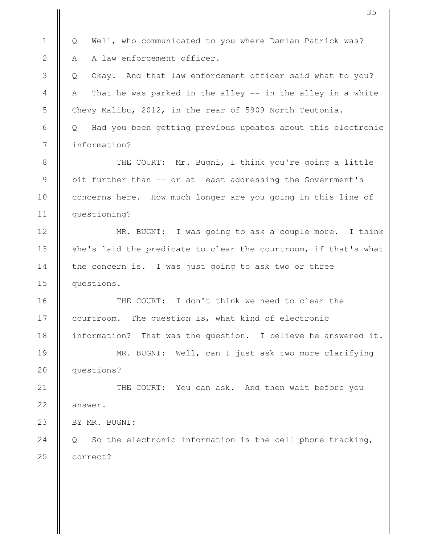Q Well, who communicated to you where Damian Patrick was? A A law enforcement officer. Q Okay. And that law enforcement officer said what to you? A That he was parked in the alley -- in the alley in a white Chevy Malibu, 2012, in the rear of 5909 North Teutonia. Q Had you been getting previous updates about this electronic information? THE COURT: Mr. Bugni, I think you're going a little bit further than -- or at least addressing the Government's concerns here. How much longer are you going in this line of questioning? MR. BUGNI: I was going to ask a couple more. I think she's laid the predicate to clear the courtroom, if that's what the concern is. I was just going to ask two or three questions. THE COURT: I don't think we need to clear the courtroom. The question is, what kind of electronic information? That was the question. I believe he answered it. MR. BUGNI: Well, can I just ask two more clarifying questions? THE COURT: You can ask. And then wait before you answer. BY MR. BUGNI: Q So the electronic information is the cell phone tracking, correct? 1 2 3 4 5 6 7 8 9 10 11 12 13 14 15 16 17 18 19 20 21 22 23 24 25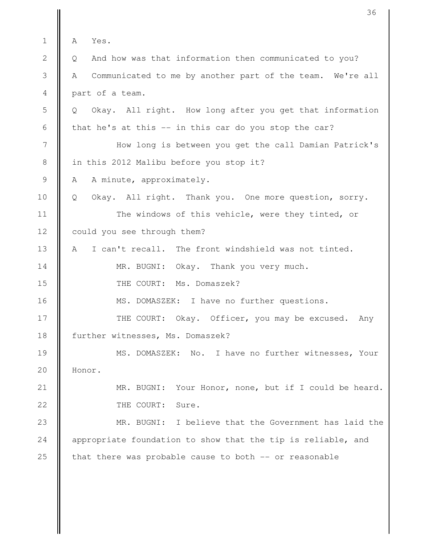|                | 36                                                             |
|----------------|----------------------------------------------------------------|
| $\mathbf 1$    | Yes.<br>A                                                      |
| $\overline{2}$ |                                                                |
|                | And how was that information then communicated to you?<br>Q    |
| 3              | Communicated to me by another part of the team. We're all<br>Α |
| $\overline{4}$ | part of a team.                                                |
| 5              | Okay. All right. How long after you get that information<br>Q  |
| 6              | that he's at this -- in this car do you stop the car?          |
| 7              | How long is between you get the call Damian Patrick's          |
| 8              | in this 2012 Malibu before you stop it?                        |
| $\mathcal{G}$  | A minute, approximately.<br>A                                  |
| 10             | Okay. All right. Thank you. One more question, sorry.<br>Q     |
| 11             | The windows of this vehicle, were they tinted, or              |
| 12             | could you see through them?                                    |
| 13             | I can't recall. The front windshield was not tinted.<br>A      |
| 14             | MR. BUGNI: Okay. Thank you very much.                          |
| 15             | Ms. Domaszek?<br>THE COURT:                                    |
| 16             | MS. DOMASZEK: I have no further questions.                     |
| 17             | THE COURT: Okay. Officer, you may be excused. Any              |
| 18             | further witnesses, Ms. Domaszek?                               |
| 19             | MS. DOMASZEK: No. I have no further witnesses, Your            |
| 20             | Honor.                                                         |
| 21             | MR. BUGNI: Your Honor, none, but if I could be heard.          |
| 22             | THE COURT:<br>Sure.                                            |
| 23             | MR. BUGNI: I believe that the Government has laid the          |
| 24             | appropriate foundation to show that the tip is reliable, and   |
| 25             | that there was probable cause to both -- or reasonable         |
|                |                                                                |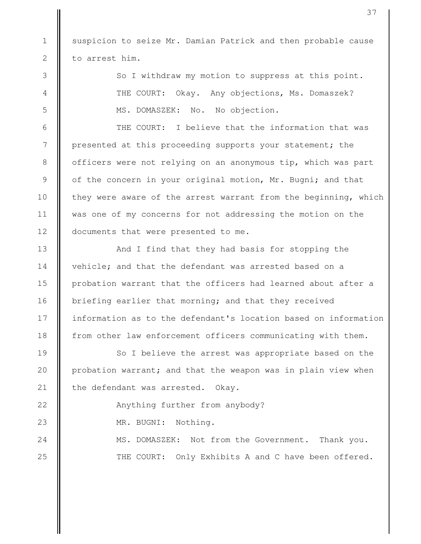suspicion to seize Mr. Damian Patrick and then probable cause to arrest him.

> So I withdraw my motion to suppress at this point. THE COURT: Okay. Any objections, Ms. Domaszek? MS. DOMASZEK: No. No objection.

THE COURT: I believe that the information that was presented at this proceeding supports your statement; the officers were not relying on an anonymous tip, which was part of the concern in your original motion, Mr. Bugni; and that they were aware of the arrest warrant from the beginning, which was one of my concerns for not addressing the motion on the documents that were presented to me.

And I find that they had basis for stopping the vehicle; and that the defendant was arrested based on a probation warrant that the officers had learned about after a briefing earlier that morning; and that they received information as to the defendant's location based on information from other law enforcement officers communicating with them.

So I believe the arrest was appropriate based on the probation warrant; and that the weapon was in plain view when the defendant was arrested. Okay.

> Anything further from anybody? MR. BUGNI: Nothing. MS. DOMASZEK: Not from the Government. Thank you.

THE COURT: Only Exhibits A and C have been offered.

24 25

1

2

3

4

5

6

7

8

9

10

11

12

13

14

15

16

17

18

19

20

21

22

23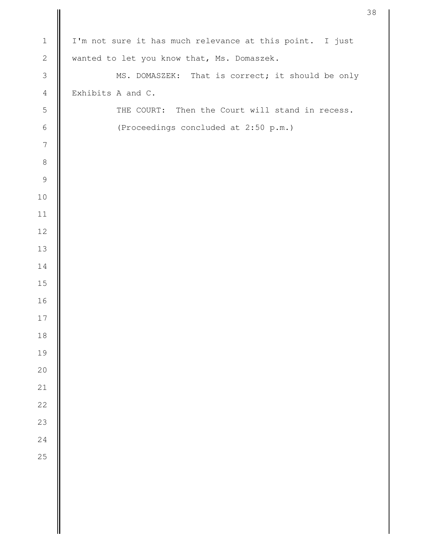| $\mathbf 1$    | I'm not sure it has much relevance at this point. I just |
|----------------|----------------------------------------------------------|
| $\overline{c}$ | wanted to let you know that, Ms. Domaszek.               |
| $\mathfrak{Z}$ | MS. DOMASZEK: That is correct; it should be only         |
| $\overline{4}$ | Exhibits A and C.                                        |
| 5              | THE COURT: Then the Court will stand in recess.          |
| $\sqrt{6}$     | (Proceedings concluded at 2:50 p.m.)                     |
| $\overline{7}$ |                                                          |
| $\,8\,$        |                                                          |
| 9              |                                                          |
| $10$           |                                                          |
| $11\,$         |                                                          |
| 12             |                                                          |
| 13             |                                                          |
| 14             |                                                          |
| 15             |                                                          |
| 16             |                                                          |
| $17$           |                                                          |
| $18$           |                                                          |
| 19             |                                                          |
| 20             |                                                          |
| 21             |                                                          |
| 22             |                                                          |
| 23             |                                                          |
| 24             |                                                          |
| 25             |                                                          |
|                |                                                          |
|                |                                                          |
|                |                                                          |
|                |                                                          |